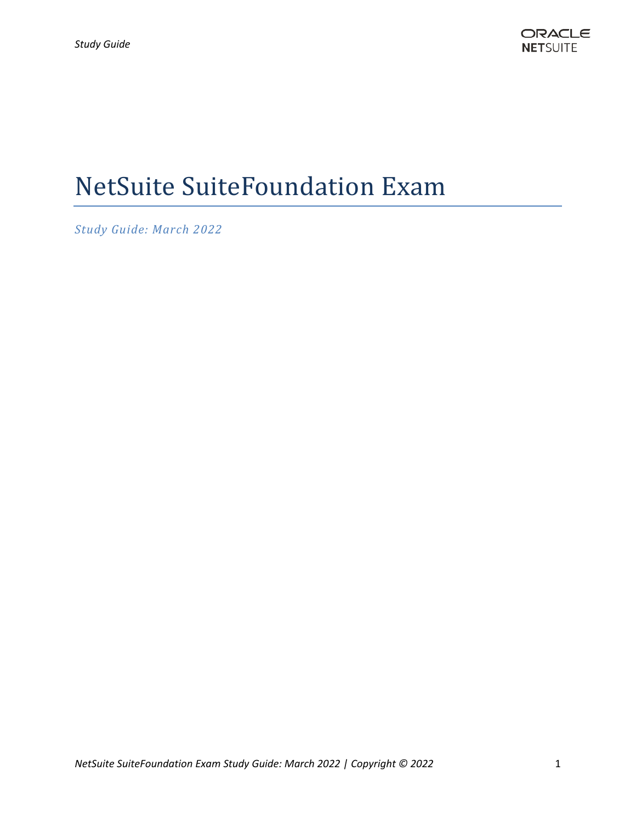# NetSuite SuiteFoundation Exam

*Study Guide: March 2022*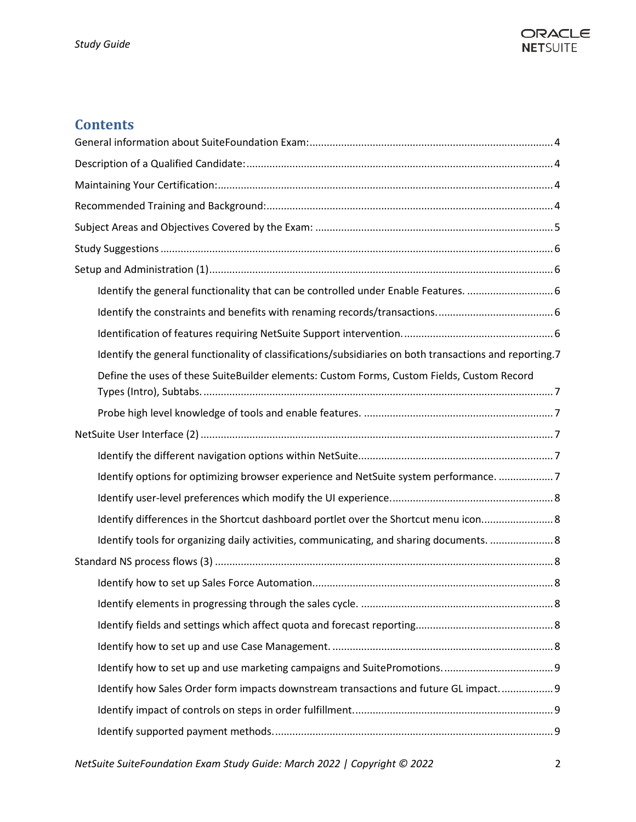

# **Contents**

| Identify the general functionality of classifications/subsidiaries on both transactions and reporting.7 |
|---------------------------------------------------------------------------------------------------------|
| Define the uses of these SuiteBuilder elements: Custom Forms, Custom Fields, Custom Record              |
|                                                                                                         |
|                                                                                                         |
|                                                                                                         |
| Identify options for optimizing browser experience and NetSuite system performance. 7                   |
|                                                                                                         |
| Identify differences in the Shortcut dashboard portlet over the Shortcut menu icon 8                    |
| Identify tools for organizing daily activities, communicating, and sharing documents.  8                |
|                                                                                                         |
|                                                                                                         |
|                                                                                                         |
|                                                                                                         |
|                                                                                                         |
|                                                                                                         |
| Identify how Sales Order form impacts downstream transactions and future GL impact 9                    |
|                                                                                                         |
|                                                                                                         |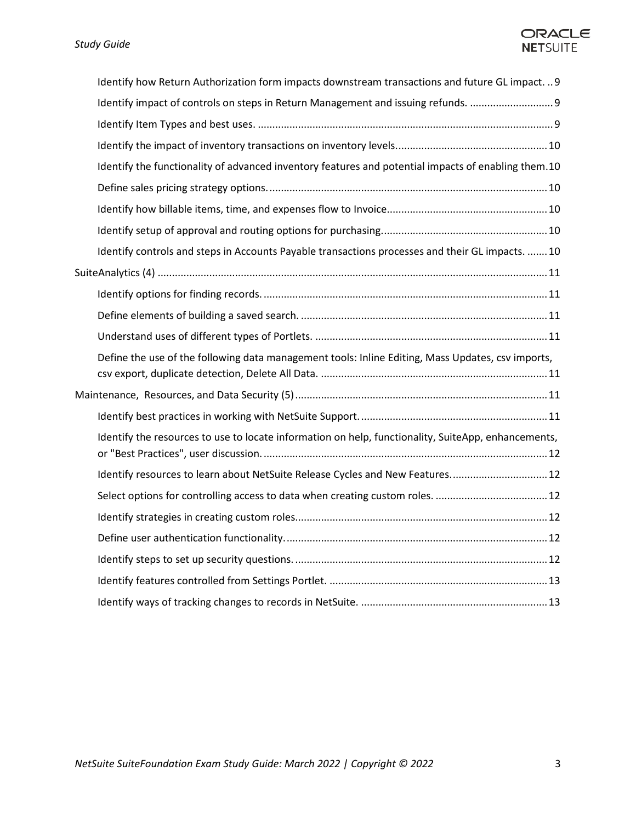## ORACLE **NETSUITE**

| Identify how Return Authorization form impacts downstream transactions and future GL impact.  9     |  |
|-----------------------------------------------------------------------------------------------------|--|
| Identify impact of controls on steps in Return Management and issuing refunds.                      |  |
|                                                                                                     |  |
|                                                                                                     |  |
| Identify the functionality of advanced inventory features and potential impacts of enabling them.10 |  |
|                                                                                                     |  |
|                                                                                                     |  |
|                                                                                                     |  |
| Identify controls and steps in Accounts Payable transactions processes and their GL impacts.  10    |  |
|                                                                                                     |  |
|                                                                                                     |  |
|                                                                                                     |  |
|                                                                                                     |  |
| Define the use of the following data management tools: Inline Editing, Mass Updates, csv imports,   |  |
|                                                                                                     |  |
|                                                                                                     |  |
| Identify the resources to use to locate information on help, functionality, SuiteApp, enhancements, |  |
| Identify resources to learn about NetSuite Release Cycles and New Features 12                       |  |
|                                                                                                     |  |
|                                                                                                     |  |
|                                                                                                     |  |
|                                                                                                     |  |
|                                                                                                     |  |
|                                                                                                     |  |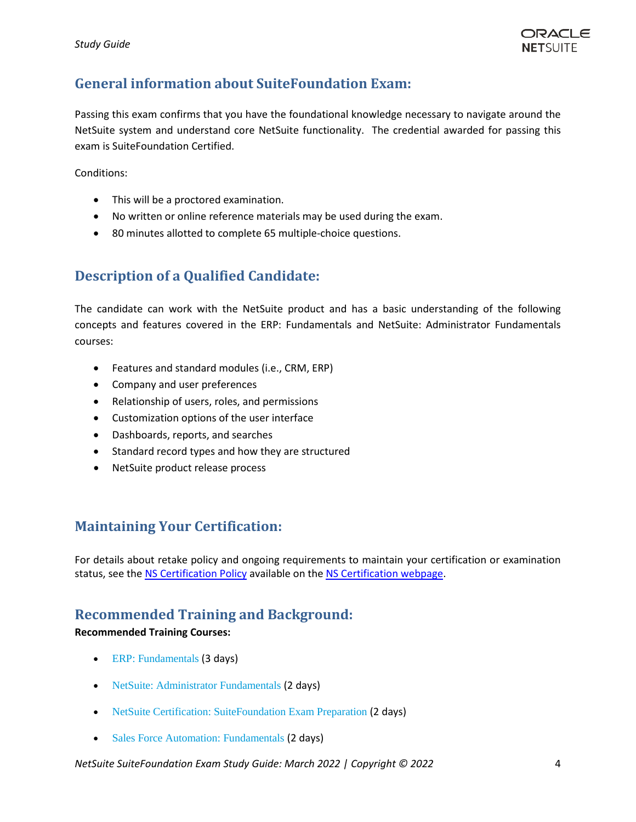# <span id="page-3-0"></span>**General information about SuiteFoundation Exam:**

Passing this exam confirms that you have the foundational knowledge necessary to navigate around the NetSuite system and understand core NetSuite functionality. The credential awarded for passing this exam is SuiteFoundation Certified.

Conditions:

- This will be a proctored examination.
- No written or online reference materials may be used during the exam.
- 80 minutes allotted to complete 65 multiple-choice questions.

# <span id="page-3-1"></span>**Description of a Qualified Candidate:**

The candidate can work with the NetSuite product and has a basic understanding of the following concepts and features covered in the ERP: Fundamentals and NetSuite: Administrator Fundamentals courses:

- Features and standard modules (i.e., CRM, ERP)
- Company and user preferences
- Relationship of users, roles, and permissions
- Customization options of the user interface
- Dashboards, reports, and searches
- Standard record types and how they are structured
- NetSuite product release process

# <span id="page-3-2"></span>**Maintaining Your Certification:**

<span id="page-3-3"></span>For details about retake policy and ongoing requirements to maintain your certification or examination status, see th[e NS Certification Policy](https://nlcorp.app.netsuite.com/core/media/media.nl?id=10263318&c=NLCORP&h=85a2c6855f4bceb543de&_xt=.pdf&vid=NssTkZiuAqSrhUqg&chrole=17&ck=A8sT4JiuAqKrhWgJ&cktime=175790&promocode=&promocodeaction=overwrite&sj=wR4lSDaypsJeD0uCGk2Q6Zsxb%3B1591912645%3B908834000) available on th[e NS Certification webpage.](https://www.netsuite.com/portal/services/training/suite-training/netsuite-certification.shtml)

## **Recommended Training and Background:**

#### **Recommended Training Courses:**

- [ERP: Fundamentals](https://www.netsuite.com/portal/services/training/suite-training/description-erp-fundamentals.shtml) (3 days)
- [NetSuite: Administrator Fundamentals](http://www.netsuite.com/portal/services/training/description-administrator-fundamentals.shtml) (2 days)
- [NetSuite Certification: SuiteFoundation Exam Preparation](http://www.netsuite.com/portal/services/training/suite-foundation-exam-preparation.shtml) (2 days)
- [Sales Force Automation: Fundamentals](http://www.netsuite.com/portal/services/training/sfa-fundamentals.shtml) (2 days)

*NetSuite SuiteFoundation Exam Study Guide: March 2022 | Copyright © 2022* 4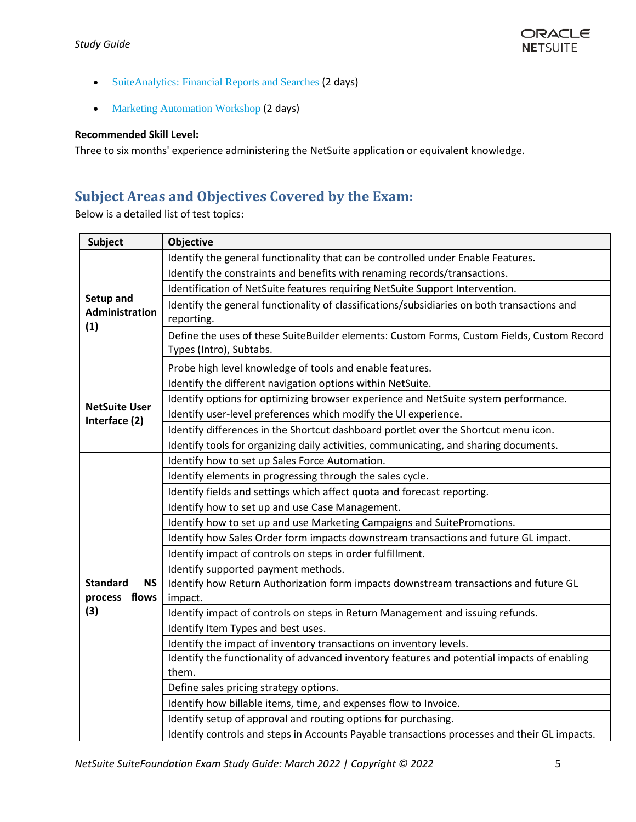- [SuiteAnalytics: Financial Reports and Searches](http://www.netsuite.com/portal/services/training/description-suite-analytics-financial-report.shtml) (2 days)
- Marketing Automation Workshop (2 days)

#### **Recommended Skill Level:**

Three to six months' experience administering the NetSuite application or equivalent knowledge.

# <span id="page-4-0"></span>**Subject Areas and Objectives Covered by the Exam:**

Below is a detailed list of test topics:

| Subject                                        | <b>Objective</b>                                                                                                      |
|------------------------------------------------|-----------------------------------------------------------------------------------------------------------------------|
| Setup and<br><b>Administration</b><br>(1)      | Identify the general functionality that can be controlled under Enable Features.                                      |
|                                                | Identify the constraints and benefits with renaming records/transactions.                                             |
|                                                | Identification of NetSuite features requiring NetSuite Support Intervention.                                          |
|                                                | Identify the general functionality of classifications/subsidiaries on both transactions and<br>reporting.             |
|                                                | Define the uses of these SuiteBuilder elements: Custom Forms, Custom Fields, Custom Record<br>Types (Intro), Subtabs. |
|                                                | Probe high level knowledge of tools and enable features.                                                              |
| <b>NetSuite User</b>                           | Identify the different navigation options within NetSuite.                                                            |
|                                                | Identify options for optimizing browser experience and NetSuite system performance.                                   |
|                                                | Identify user-level preferences which modify the UI experience.                                                       |
| Interface (2)                                  | Identify differences in the Shortcut dashboard portlet over the Shortcut menu icon.                                   |
|                                                | Identify tools for organizing daily activities, communicating, and sharing documents.                                 |
|                                                | Identify how to set up Sales Force Automation.                                                                        |
| <b>Standard</b><br>NS.<br>process flows<br>(3) | Identify elements in progressing through the sales cycle.                                                             |
|                                                | Identify fields and settings which affect quota and forecast reporting.                                               |
|                                                | Identify how to set up and use Case Management.                                                                       |
|                                                | Identify how to set up and use Marketing Campaigns and SuitePromotions.                                               |
|                                                | Identify how Sales Order form impacts downstream transactions and future GL impact.                                   |
|                                                | Identify impact of controls on steps in order fulfillment.                                                            |
|                                                | Identify supported payment methods.                                                                                   |
|                                                | Identify how Return Authorization form impacts downstream transactions and future GL<br>impact.                       |
|                                                | Identify impact of controls on steps in Return Management and issuing refunds.                                        |
|                                                | Identify Item Types and best uses.                                                                                    |
|                                                | Identify the impact of inventory transactions on inventory levels.                                                    |
|                                                | Identify the functionality of advanced inventory features and potential impacts of enabling                           |
|                                                | them.                                                                                                                 |
|                                                | Define sales pricing strategy options.                                                                                |
|                                                | Identify how billable items, time, and expenses flow to Invoice.                                                      |
|                                                | Identify setup of approval and routing options for purchasing.                                                        |
|                                                | Identify controls and steps in Accounts Payable transactions processes and their GL impacts.                          |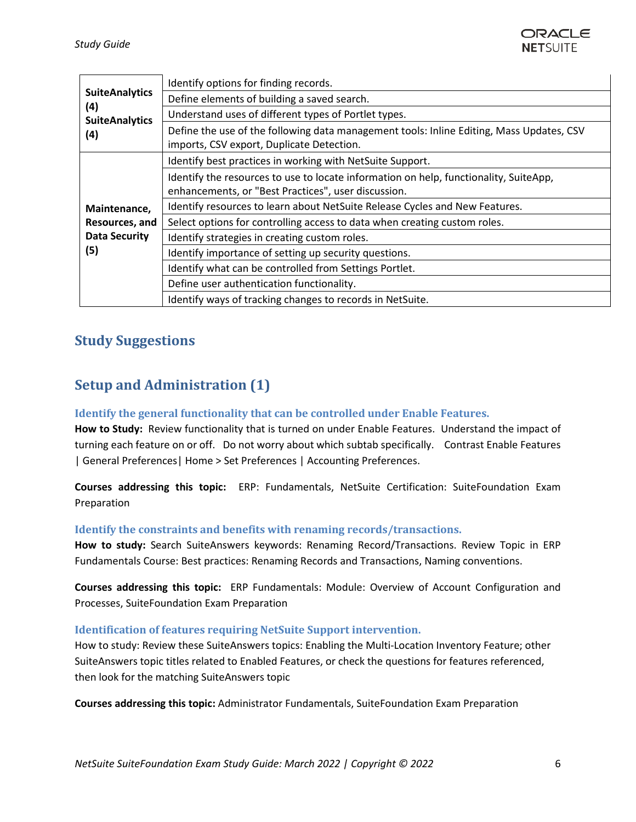

| <b>SuiteAnalytics</b><br>(4)<br><b>SuiteAnalytics</b><br>(4)  | Identify options for finding records.                                                                                                        |
|---------------------------------------------------------------|----------------------------------------------------------------------------------------------------------------------------------------------|
|                                                               | Define elements of building a saved search.                                                                                                  |
|                                                               | Understand uses of different types of Portlet types.                                                                                         |
|                                                               | Define the use of the following data management tools: Inline Editing, Mass Updates, CSV<br>imports, CSV export, Duplicate Detection.        |
| Maintenance,<br>Resources, and<br><b>Data Security</b><br>(5) | Identify best practices in working with NetSuite Support.                                                                                    |
|                                                               | Identify the resources to use to locate information on help, functionality, SuiteApp,<br>enhancements, or "Best Practices", user discussion. |
|                                                               | Identify resources to learn about NetSuite Release Cycles and New Features.                                                                  |
|                                                               | Select options for controlling access to data when creating custom roles.                                                                    |
|                                                               | Identify strategies in creating custom roles.                                                                                                |
|                                                               | Identify importance of setting up security questions.                                                                                        |
|                                                               | Identify what can be controlled from Settings Portlet.                                                                                       |
|                                                               | Define user authentication functionality.                                                                                                    |
|                                                               | Identify ways of tracking changes to records in NetSuite.                                                                                    |

# <span id="page-5-1"></span><span id="page-5-0"></span>**Study Suggestions**

# **Setup and Administration (1)**

## <span id="page-5-2"></span>**Identify the general functionality that can be controlled under Enable Features.**

**How to Study:** Review functionality that is turned on under Enable Features. Understand the impact of turning each feature on or off. Do not worry about which subtab specifically. Contrast Enable Features | General Preferences| Home > Set Preferences | Accounting Preferences.

**Courses addressing this topic:** ERP: Fundamentals, NetSuite Certification: SuiteFoundation Exam Preparation

#### <span id="page-5-3"></span>**Identify the constraints and benefits with renaming records/transactions.**

**How to study:** Search SuiteAnswers keywords: Renaming Record/Transactions. Review Topic in ERP Fundamentals Course: Best practices: Renaming Records and Transactions, Naming conventions.

**Courses addressing this topic:** ERP Fundamentals: Module: Overview of Account Configuration and Processes, SuiteFoundation Exam Preparation

#### <span id="page-5-4"></span>**Identification of features requiring NetSuite Support intervention.**

How to study: Review these SuiteAnswers topics: Enabling the Multi-Location Inventory Feature; other SuiteAnswers topic titles related to Enabled Features, or check the questions for features referenced, then look for the matching SuiteAnswers topic

**Courses addressing this topic:** Administrator Fundamentals, SuiteFoundation Exam Preparation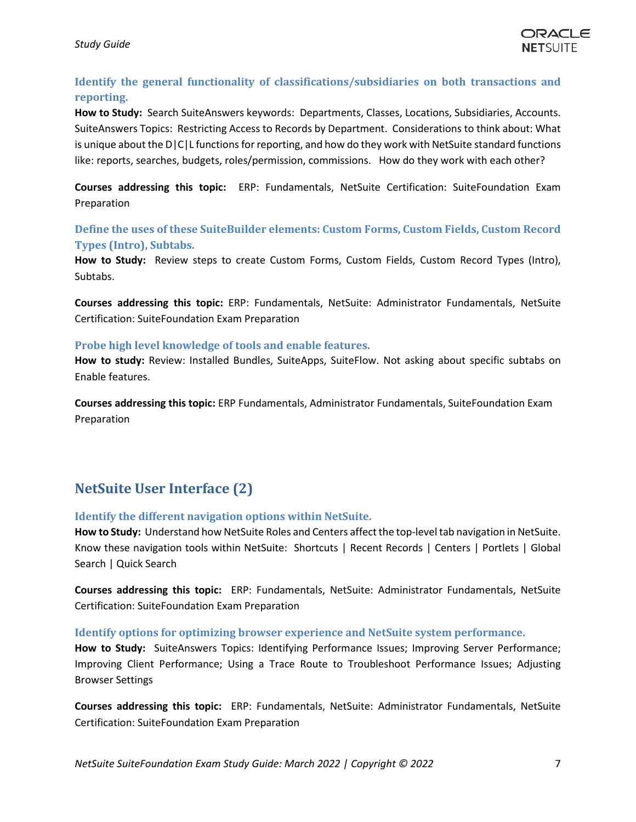## <span id="page-6-0"></span>**Identify the general functionality of classifications/subsidiaries on both transactions and reporting.**

**How to Study:** Search SuiteAnswers keywords: Departments, Classes, Locations, Subsidiaries, Accounts. SuiteAnswers Topics: Restricting Access to Records by Department. Considerations to think about: What is unique about the D|C|L functions for reporting, and how do they work with NetSuite standard functions like: reports, searches, budgets, roles/permission, commissions. How do they work with each other?

**Courses addressing this topic:** ERP: Fundamentals, NetSuite Certification: SuiteFoundation Exam Preparation

## <span id="page-6-1"></span>**Define the uses of these SuiteBuilder elements: Custom Forms, Custom Fields, Custom Record Types (Intro), Subtabs.**

**How to Study:** Review steps to create Custom Forms, Custom Fields, Custom Record Types (Intro), Subtabs.

**Courses addressing this topic:** ERP: Fundamentals, NetSuite: Administrator Fundamentals, NetSuite Certification: SuiteFoundation Exam Preparation

#### <span id="page-6-2"></span>**Probe high level knowledge of tools and enable features.**

**How to study:** Review: Installed Bundles, SuiteApps, SuiteFlow. Not asking about specific subtabs on Enable features.

**Courses addressing this topic:** ERP Fundamentals, Administrator Fundamentals, SuiteFoundation Exam Preparation

# <span id="page-6-3"></span>**NetSuite User Interface (2)**

## <span id="page-6-4"></span>**Identify the different navigation options within NetSuite.**

**How to Study:** Understand how NetSuite Roles and Centers affect the top-level tab navigation in NetSuite. Know these navigation tools within NetSuite: Shortcuts | Recent Records | Centers | Portlets | Global Search | Quick Search

**Courses addressing this topic:** ERP: Fundamentals, NetSuite: Administrator Fundamentals, NetSuite Certification: SuiteFoundation Exam Preparation

#### <span id="page-6-5"></span>**Identify options for optimizing browser experience and NetSuite system performance.**

**How to Study:** SuiteAnswers Topics: Identifying Performance Issues; Improving Server Performance; Improving Client Performance; Using a Trace Route to Troubleshoot Performance Issues; Adjusting Browser Settings

**Courses addressing this topic:** ERP: Fundamentals, NetSuite: Administrator Fundamentals, NetSuite Certification: SuiteFoundation Exam Preparation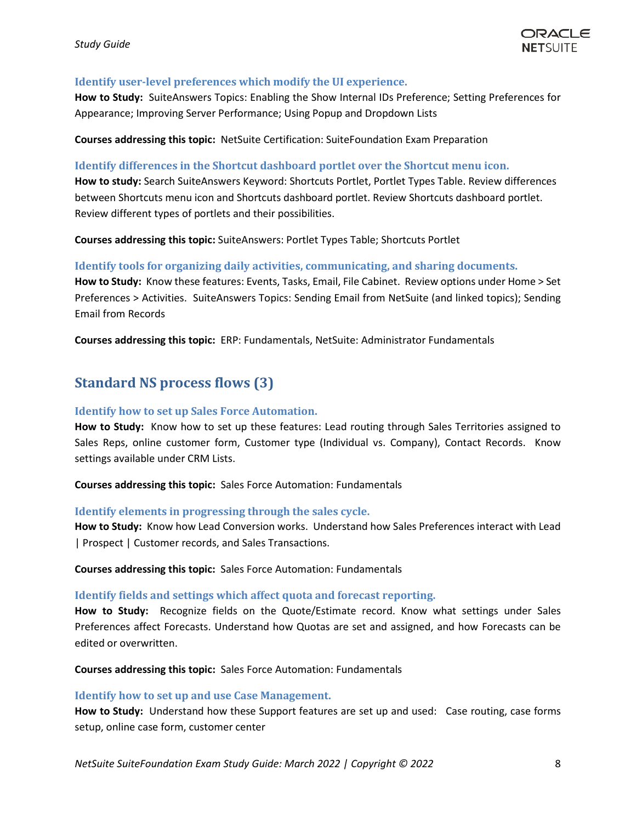#### <span id="page-7-0"></span>**Identify user-level preferences which modify the UI experience.**

**How to Study:** SuiteAnswers Topics: Enabling the Show Internal IDs Preference; Setting Preferences for Appearance; Improving Server Performance; Using Popup and Dropdown Lists

**Courses addressing this topic:** NetSuite Certification: SuiteFoundation Exam Preparation

#### <span id="page-7-1"></span>**Identify differences in the Shortcut dashboard portlet over the Shortcut menu icon.**

**How to study:** Search SuiteAnswers Keyword: Shortcuts Portlet, Portlet Types Table. Review differences between Shortcuts menu icon and Shortcuts dashboard portlet. Review Shortcuts dashboard portlet. Review different types of portlets and their possibilities.

**Courses addressing this topic:** SuiteAnswers: Portlet Types Table; Shortcuts Portlet

#### <span id="page-7-2"></span>**Identify tools for organizing daily activities, communicating, and sharing documents.**

**How to Study:** Know these features: Events, Tasks, Email, File Cabinet. Review options under Home > Set Preferences > Activities. SuiteAnswers Topics: Sending Email from NetSuite (and linked topics); Sending Email from Records

**Courses addressing this topic:** ERP: Fundamentals, NetSuite: Administrator Fundamentals

## <span id="page-7-3"></span>**Standard NS process flows (3)**

#### <span id="page-7-4"></span>**Identify how to set up Sales Force Automation.**

**How to Study:** Know how to set up these features: Lead routing through Sales Territories assigned to Sales Reps, online customer form, Customer type (Individual vs. Company), Contact Records. Know settings available under CRM Lists.

**Courses addressing this topic:** Sales Force Automation: Fundamentals

#### <span id="page-7-5"></span>**Identify elements in progressing through the sales cycle.**

**How to Study:** Know how Lead Conversion works. Understand how Sales Preferences interact with Lead | Prospect | Customer records, and Sales Transactions.

**Courses addressing this topic:** Sales Force Automation: Fundamentals

#### <span id="page-7-6"></span>**Identify fields and settings which affect quota and forecast reporting.**

**How to Study:** Recognize fields on the Quote/Estimate record. Know what settings under Sales Preferences affect Forecasts. Understand how Quotas are set and assigned, and how Forecasts can be edited or overwritten.

**Courses addressing this topic:** Sales Force Automation: Fundamentals

#### <span id="page-7-7"></span>**Identify how to set up and use Case Management.**

**How to Study:** Understand how these Support features are set up and used: Case routing, case forms setup, online case form, customer center

*NetSuite SuiteFoundation Exam Study Guide: March 2022 | Copyright © 2022* 8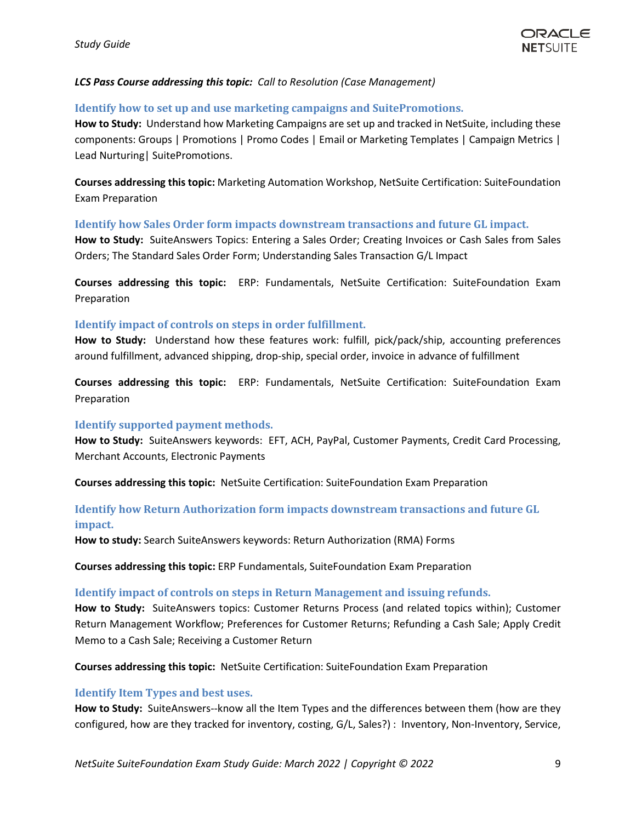#### *LCS Pass Course addressing this topic: Call to Resolution (Case Management)*

#### <span id="page-8-0"></span>**Identify how to set up and use marketing campaigns and SuitePromotions.**

**How to Study:** Understand how Marketing Campaigns are set up and tracked in NetSuite, including these components: Groups | Promotions | Promo Codes | Email or Marketing Templates | Campaign Metrics | Lead Nurturing| SuitePromotions.

**Courses addressing this topic:** Marketing Automation Workshop, NetSuite Certification: SuiteFoundation Exam Preparation

#### <span id="page-8-1"></span>**Identify how Sales Order form impacts downstream transactions and future GL impact.**

**How to Study:** SuiteAnswers Topics: Entering a Sales Order; Creating Invoices or Cash Sales from Sales Orders; The Standard Sales Order Form; Understanding Sales Transaction G/L Impact

**Courses addressing this topic:** ERP: Fundamentals, NetSuite Certification: SuiteFoundation Exam Preparation

#### <span id="page-8-2"></span>**Identify impact of controls on steps in order fulfillment.**

**How to Study:** Understand how these features work: fulfill, pick/pack/ship, accounting preferences around fulfillment, advanced shipping, drop-ship, special order, invoice in advance of fulfillment

**Courses addressing this topic:** ERP: Fundamentals, NetSuite Certification: SuiteFoundation Exam Preparation

#### <span id="page-8-3"></span>**Identify supported payment methods.**

**How to Study:** SuiteAnswers keywords: EFT, ACH, PayPal, Customer Payments, Credit Card Processing, Merchant Accounts, Electronic Payments

**Courses addressing this topic:** NetSuite Certification: SuiteFoundation Exam Preparation

## <span id="page-8-4"></span>**Identify how Return Authorization form impacts downstream transactions and future GL impact.**

**How to study:** Search SuiteAnswers keywords: Return Authorization (RMA) Forms

**Courses addressing this topic:** ERP Fundamentals, SuiteFoundation Exam Preparation

#### <span id="page-8-5"></span>**Identify impact of controls on steps in Return Management and issuing refunds.**

**How to Study:** SuiteAnswers topics: Customer Returns Process (and related topics within); Customer Return Management Workflow; Preferences for Customer Returns; Refunding a Cash Sale; Apply Credit Memo to a Cash Sale; Receiving a Customer Return

**Courses addressing this topic:** NetSuite Certification: SuiteFoundation Exam Preparation

#### <span id="page-8-6"></span>**Identify Item Types and best uses.**

**How to Study:** SuiteAnswers--know all the Item Types and the differences between them (how are they configured, how are they tracked for inventory, costing, G/L, Sales?) : Inventory, Non-Inventory, Service,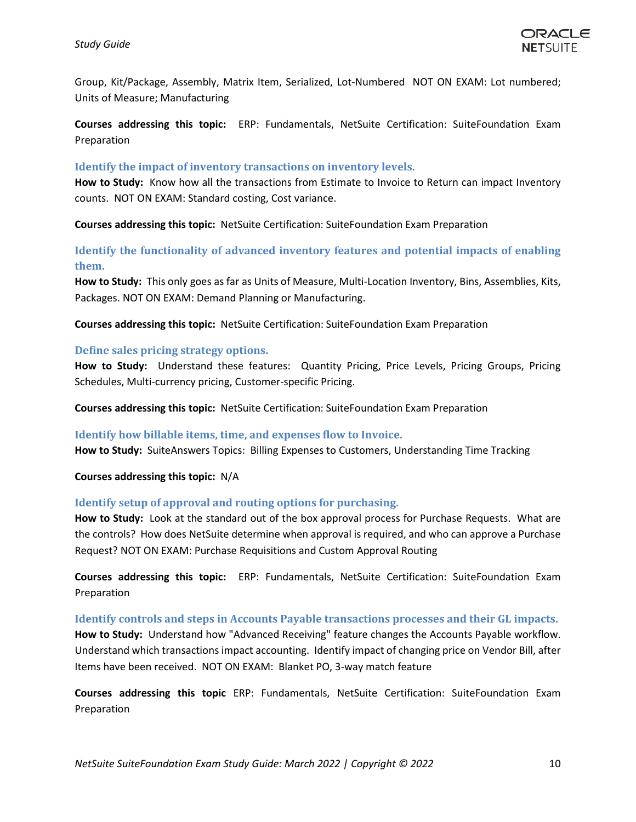Group, Kit/Package, Assembly, Matrix Item, Serialized, Lot-Numbered NOT ON EXAM: Lot numbered; Units of Measure; Manufacturing

**Courses addressing this topic:** ERP: Fundamentals, NetSuite Certification: SuiteFoundation Exam Preparation

#### <span id="page-9-0"></span>**Identify the impact of inventory transactions on inventory levels.**

**How to Study:** Know how all the transactions from Estimate to Invoice to Return can impact Inventory counts. NOT ON EXAM: Standard costing, Cost variance.

**Courses addressing this topic:** NetSuite Certification: SuiteFoundation Exam Preparation

## <span id="page-9-1"></span>**Identify the functionality of advanced inventory features and potential impacts of enabling them.**

**How to Study:** This only goes as far as Units of Measure, Multi-Location Inventory, Bins, Assemblies, Kits, Packages. NOT ON EXAM: Demand Planning or Manufacturing.

**Courses addressing this topic:** NetSuite Certification: SuiteFoundation Exam Preparation

#### <span id="page-9-2"></span>**Define sales pricing strategy options.**

**How to Study:** Understand these features: Quantity Pricing, Price Levels, Pricing Groups, Pricing Schedules, Multi-currency pricing, Customer-specific Pricing.

**Courses addressing this topic:** NetSuite Certification: SuiteFoundation Exam Preparation

#### <span id="page-9-3"></span>**Identify how billable items, time, and expenses flow to Invoice.**

**How to Study:** SuiteAnswers Topics: Billing Expenses to Customers, Understanding Time Tracking

**Courses addressing this topic:** N/A

#### <span id="page-9-4"></span>**Identify setup of approval and routing options for purchasing.**

**How to Study:** Look at the standard out of the box approval process for Purchase Requests. What are the controls? How does NetSuite determine when approval is required, and who can approve a Purchase Request? NOT ON EXAM: Purchase Requisitions and Custom Approval Routing

**Courses addressing this topic:** ERP: Fundamentals, NetSuite Certification: SuiteFoundation Exam Preparation

#### <span id="page-9-5"></span>**Identify controls and steps in Accounts Payable transactions processes and their GL impacts.**

**How to Study:** Understand how "Advanced Receiving" feature changes the Accounts Payable workflow. Understand which transactions impact accounting. Identify impact of changing price on Vendor Bill, after Items have been received. NOT ON EXAM: Blanket PO, 3-way match feature

**Courses addressing this topic** ERP: Fundamentals, NetSuite Certification: SuiteFoundation Exam Preparation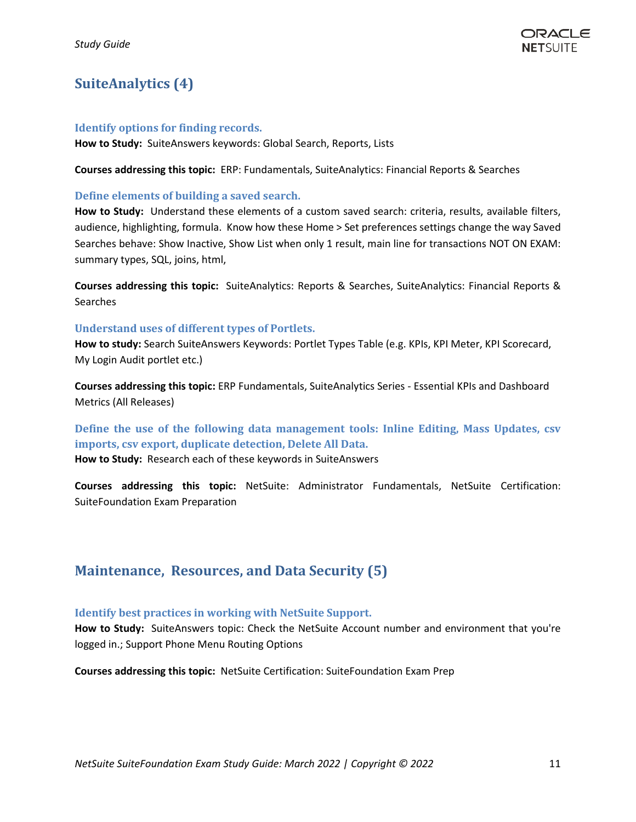# <span id="page-10-0"></span>**SuiteAnalytics (4)**

#### <span id="page-10-1"></span>**Identify options for finding records.**

**How to Study:** SuiteAnswers keywords: Global Search, Reports, Lists

**Courses addressing this topic:** ERP: Fundamentals, SuiteAnalytics: Financial Reports & Searches

#### <span id="page-10-2"></span>**Define elements of building a saved search.**

**How to Study:** Understand these elements of a custom saved search: criteria, results, available filters, audience, highlighting, formula. Know how these Home > Set preferences settings change the way Saved Searches behave: Show Inactive, Show List when only 1 result, main line for transactions NOT ON EXAM: summary types, SQL, joins, html,

**Courses addressing this topic:** SuiteAnalytics: Reports & Searches, SuiteAnalytics: Financial Reports & **Searches** 

#### <span id="page-10-3"></span>**Understand uses of different types of Portlets.**

How to study: Search SuiteAnswers Keywords: Portlet Types Table (e.g. KPIs, KPI Meter, KPI Scorecard, My Login Audit portlet etc.)

**Courses addressing this topic:** ERP Fundamentals, SuiteAnalytics Series - Essential KPIs and Dashboard Metrics (All Releases)

<span id="page-10-4"></span>**Define the use of the following data management tools: Inline Editing, Mass Updates, csv imports, csv export, duplicate detection, Delete All Data.** 

**How to Study:** Research each of these keywords in SuiteAnswers

**Courses addressing this topic:** NetSuite: Administrator Fundamentals, NetSuite Certification: SuiteFoundation Exam Preparation

## <span id="page-10-5"></span>**Maintenance, Resources, and Data Security (5)**

#### <span id="page-10-6"></span>**Identify best practices in working with NetSuite Support.**

**How to Study:** SuiteAnswers topic: Check the NetSuite Account number and environment that you're logged in.; Support Phone Menu Routing Options

**Courses addressing this topic:** NetSuite Certification: SuiteFoundation Exam Prep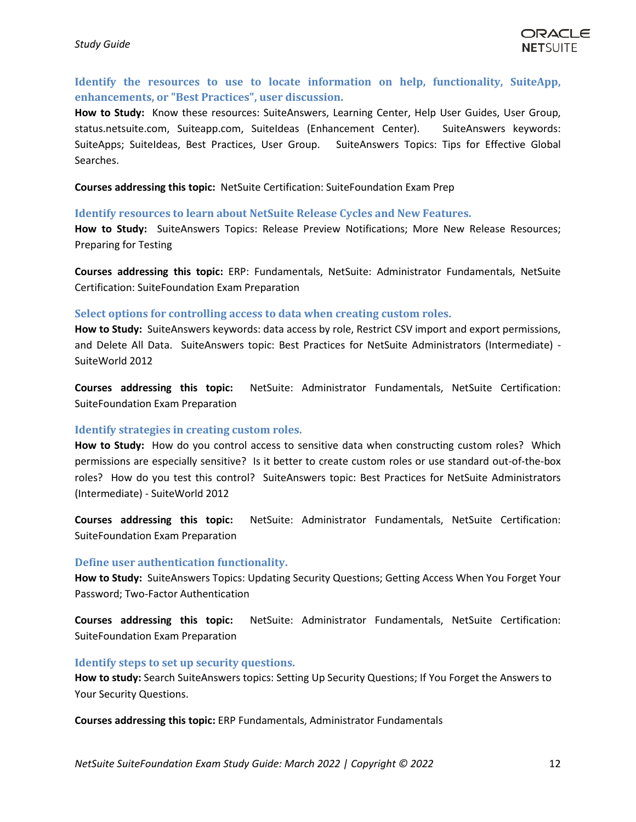## <span id="page-11-0"></span>**Identify the resources to use to locate information on help, functionality, SuiteApp, enhancements, or "Best Practices", user discussion.**

**How to Study:** Know these resources: SuiteAnswers, Learning Center, Help User Guides, User Group, status.netsuite.com, Suiteapp.com, SuiteIdeas (Enhancement Center). SuiteAnswers keywords: SuiteApps; SuiteIdeas, Best Practices, User Group. SuiteAnswers Topics: Tips for Effective Global Searches.

**Courses addressing this topic:** NetSuite Certification: SuiteFoundation Exam Prep

#### <span id="page-11-1"></span>**Identify resources to learn about NetSuite Release Cycles and New Features.**

**How to Study:** SuiteAnswers Topics: Release Preview Notifications; More New Release Resources; Preparing for Testing

**Courses addressing this topic:** ERP: Fundamentals, NetSuite: Administrator Fundamentals, NetSuite Certification: SuiteFoundation Exam Preparation

#### <span id="page-11-2"></span>**Select options for controlling access to data when creating custom roles.**

**How to Study:** SuiteAnswers keywords: data access by role, Restrict CSV import and export permissions, and Delete All Data. SuiteAnswers topic: Best Practices for NetSuite Administrators (Intermediate) - SuiteWorld 2012

**Courses addressing this topic:** NetSuite: Administrator Fundamentals, NetSuite Certification: SuiteFoundation Exam Preparation

#### <span id="page-11-3"></span>**Identify strategies in creating custom roles.**

**How to Study:** How do you control access to sensitive data when constructing custom roles? Which permissions are especially sensitive? Is it better to create custom roles or use standard out-of-the-box roles? How do you test this control? SuiteAnswers topic: Best Practices for NetSuite Administrators (Intermediate) - SuiteWorld 2012

**Courses addressing this topic:** NetSuite: Administrator Fundamentals, NetSuite Certification: SuiteFoundation Exam Preparation

#### <span id="page-11-4"></span>**Define user authentication functionality.**

**How to Study:** SuiteAnswers Topics: Updating Security Questions; Getting Access When You Forget Your Password; Two-Factor Authentication

**Courses addressing this topic:** NetSuite: Administrator Fundamentals, NetSuite Certification: SuiteFoundation Exam Preparation

#### <span id="page-11-5"></span>**Identify steps to set up security questions.**

**How to study:** Search SuiteAnswers topics: Setting Up Security Questions; If You Forget the Answers to Your Security Questions.

**Courses addressing this topic:** ERP Fundamentals, Administrator Fundamentals